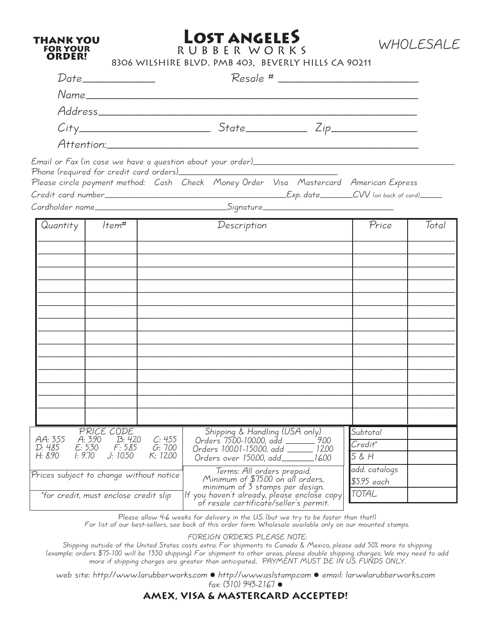# **THANK YOU** FOR YOUR<br>ORDER!

## **LOST ANGELES** RUBBER WORKS

WHOLESALE

8306 WILSHIRE BLVD, PMB 403. BEVERLY HILLS CA 90211

|                                                                                                                                                 |       |  | $Resale$ # $\_$                                                                                                                        |                  |                                        |       |
|-------------------------------------------------------------------------------------------------------------------------------------------------|-------|--|----------------------------------------------------------------------------------------------------------------------------------------|------------------|----------------------------------------|-------|
|                                                                                                                                                 |       |  |                                                                                                                                        |                  |                                        |       |
|                                                                                                                                                 |       |  |                                                                                                                                        |                  |                                        |       |
| $City$ $City$ $Size$ $Zip$                                                                                                                      |       |  |                                                                                                                                        |                  |                                        |       |
|                                                                                                                                                 |       |  |                                                                                                                                        |                  |                                        |       |
|                                                                                                                                                 |       |  |                                                                                                                                        |                  |                                        |       |
| Quantity                                                                                                                                        | Item# |  | Description                                                                                                                            |                  | Price                                  | Total |
|                                                                                                                                                 |       |  |                                                                                                                                        |                  |                                        |       |
|                                                                                                                                                 |       |  |                                                                                                                                        |                  |                                        |       |
|                                                                                                                                                 |       |  |                                                                                                                                        |                  |                                        |       |
|                                                                                                                                                 |       |  |                                                                                                                                        |                  |                                        |       |
|                                                                                                                                                 |       |  |                                                                                                                                        |                  |                                        |       |
|                                                                                                                                                 |       |  |                                                                                                                                        |                  |                                        |       |
|                                                                                                                                                 |       |  |                                                                                                                                        |                  |                                        |       |
|                                                                                                                                                 |       |  |                                                                                                                                        |                  |                                        |       |
|                                                                                                                                                 |       |  |                                                                                                                                        |                  |                                        |       |
|                                                                                                                                                 |       |  |                                                                                                                                        |                  |                                        |       |
|                                                                                                                                                 |       |  |                                                                                                                                        |                  |                                        |       |
| PRICE CODE<br>AA: 355<br>A: 3.90<br>C: 455<br>B: 4.20<br>F: 5.85<br>D: 4.85<br>E: 5.30<br>G: 7.00<br>H: 8.90<br>1: 9.70<br>J: 10.50<br>K: 12.00 |       |  | Shipping & Handling (USA only)<br>Orders 75.00-100.00, add<br>Orders 100.01-150.00, add _______ 12.00<br>Orders over 150.00, add 16.00 | $^{\prime}$ 9.00 | Subtotal<br>Credit*<br>5 & H           |       |
| Prices subject to change without notice<br>*for credit, must enclose credit slip                                                                |       |  | Terms: All orders prepaid.<br>Minimum of \$75.00 on all orders,<br>minimum of 3 stamps per design.                                     |                  | add. catalogs<br>$$5.95$ each<br>TOTAL |       |
|                                                                                                                                                 |       |  | If you haven't already, please enclose copy<br>of resale certificate/seller's permit.                                                  |                  |                                        |       |

Please allow 4-6 weeks for delivery in the U.S. (but we try to be faster than that!)<br>For list of our best-sellers, see back of this order form. Wholesale available only on our mounted stamps.

FOREIGN ORDERS PLEASE NOTE:

Shipping outside of the United States costs extra. For shipments to Canada & Mexico, please add 50% more to shipping<br>(example: orders \$75-100 will be 1350 shipping). For shipment to other areas, please double shipping char

web site: http://www.larubberworks.com · http://www.aslstamp.com · email: larwelarubberworks.com  $fax: (310) 943-2167$   $\bullet$ 

### AMEX, VISA & MASTERCARD ACCEPTED!